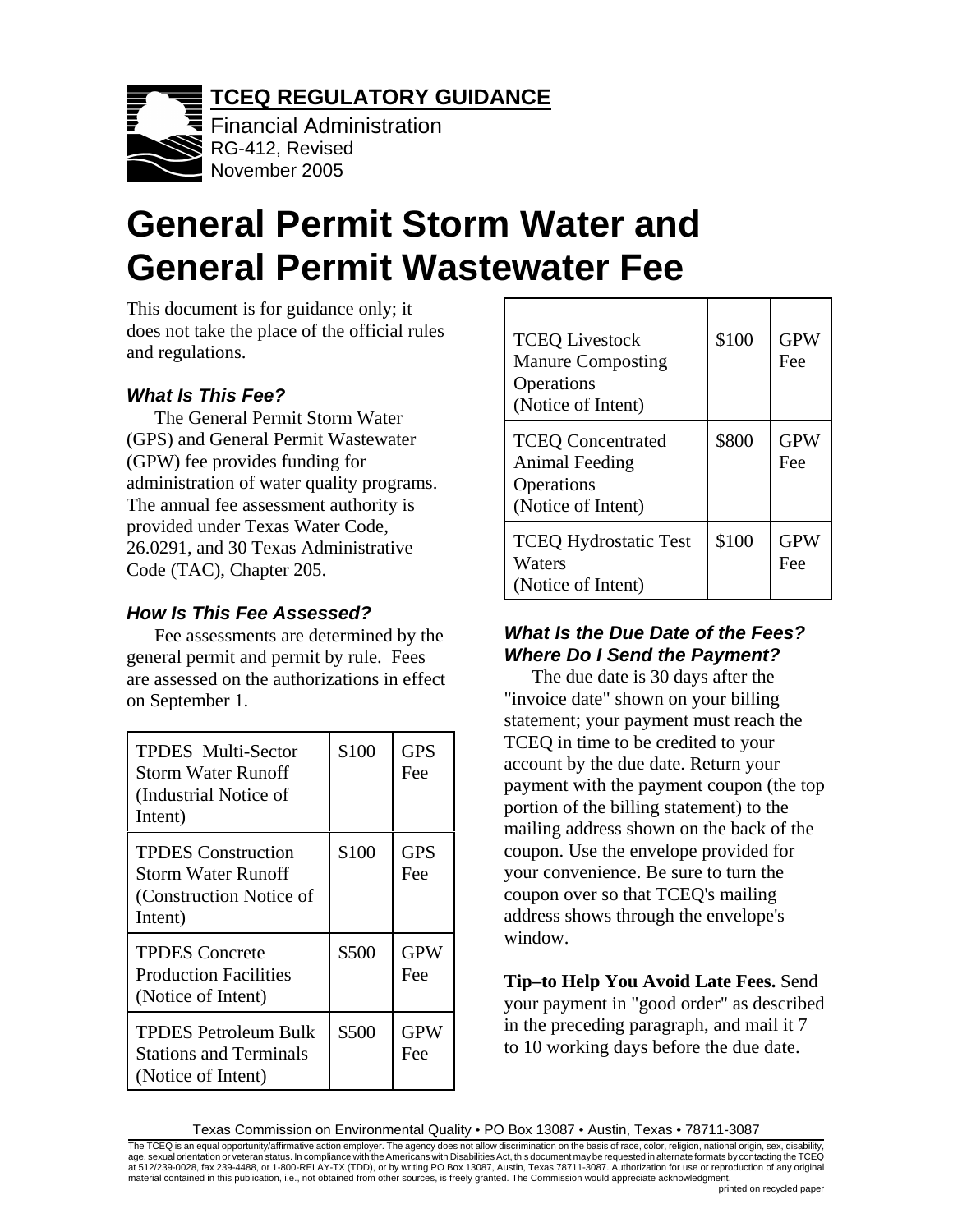**TCEQ REGULATORY GUIDANCE** 



Financial Administration RG-412, Revised November 2005

# **General Permit Storm Water and General Permit Wastewater Fee**

This document is for guidance only; it does not take the place of the official rules and regulations.

# *What Is This Fee?*

The General Permit Storm Water (GPS) and General Permit Wastewater (GPW) fee provides funding for administration of water quality programs. The annual fee assessment authority is provided under Texas Water Code, 26.0291, and 30 Texas Administrative Code (TAC), Chapter 205.

# *How Is This Fee Assessed?*

Fee assessments are determined by the general permit and permit by rule. Fees are assessed on the authorizations in effect on September 1.

| <b>TPDES Multi-Sector</b><br>Storm Water Runoff<br>(Industrial Notice of<br>Intent)          | \$100 | GPS<br>Fee        |
|----------------------------------------------------------------------------------------------|-------|-------------------|
| <b>TPDES</b> Construction<br><b>Storm Water Runoff</b><br>(Construction Notice of<br>Intent) | \$100 | <b>GPS</b><br>Fee |
| <b>TPDES Concrete</b><br><b>Production Facilities</b><br>(Notice of Intent)                  | \$500 | <b>GPW</b><br>Fee |
| TPDES Petroleum Bulk<br><b>Stations and Terminals</b><br>(Notice of Intent)                  | \$500 | <b>GPW</b><br>Fee |

| <b>TCEQ Livestock</b><br><b>Manure Composting</b><br>Operations<br>(Notice of Intent) | \$100 | <b>GPW</b><br>Fee |
|---------------------------------------------------------------------------------------|-------|-------------------|
| <b>TCEQ Concentrated</b><br>Animal Feeding<br>Operations<br>(Notice of Intent)        | \$800 | <b>GPW</b><br>Fee |
| <b>TCEQ Hydrostatic Test</b><br>Waters<br>(Notice of Intent)                          | \$100 | <b>GPW</b><br>Fee |

# *What Is the Due Date of the Fees? Where Do I Send the Payment?*

The due date is 30 days after the "invoice date" shown on your billing statement; your payment must reach the TCEQ in time to be credited to your account by the due date. Return your payment with the payment coupon (the top portion of the billing statement) to the mailing address shown on the back of the coupon. Use the envelope provided for your convenience. Be sure to turn the coupon over so that TCEQ's mailing address shows through the envelope's window.

**Tip–to Help You Avoid Late Fees.** Send your payment in "good order" as described in the preceding paragraph, and mail it 7 to 10 working days before the due date.

Texas Commission on Environmental Quality • PO Box 13087 • Austin, Texas • 78711-3087

The TCEQ is an equal opportunity/affirmative action employer. The agency does not allow discrimination on the basis of race, color, religion, national origin, sex, disability, age, sexual orientation or veteran status. In compliance with the Americans with Disabilities Act, this document may be requested in alternate formats by contacting the TCEQ at 512/239-0028, fax 239-4488, or 1-800-RELAY-TX (TDD), or by writing PO Box 13087, Austin, Texas 78711-3087. Authorization for use or reproduction of any original material contained in this publication, i.e., not obtained from other sources, is freely granted. The Commission would appreciate acknowledgment. printed on recycled paper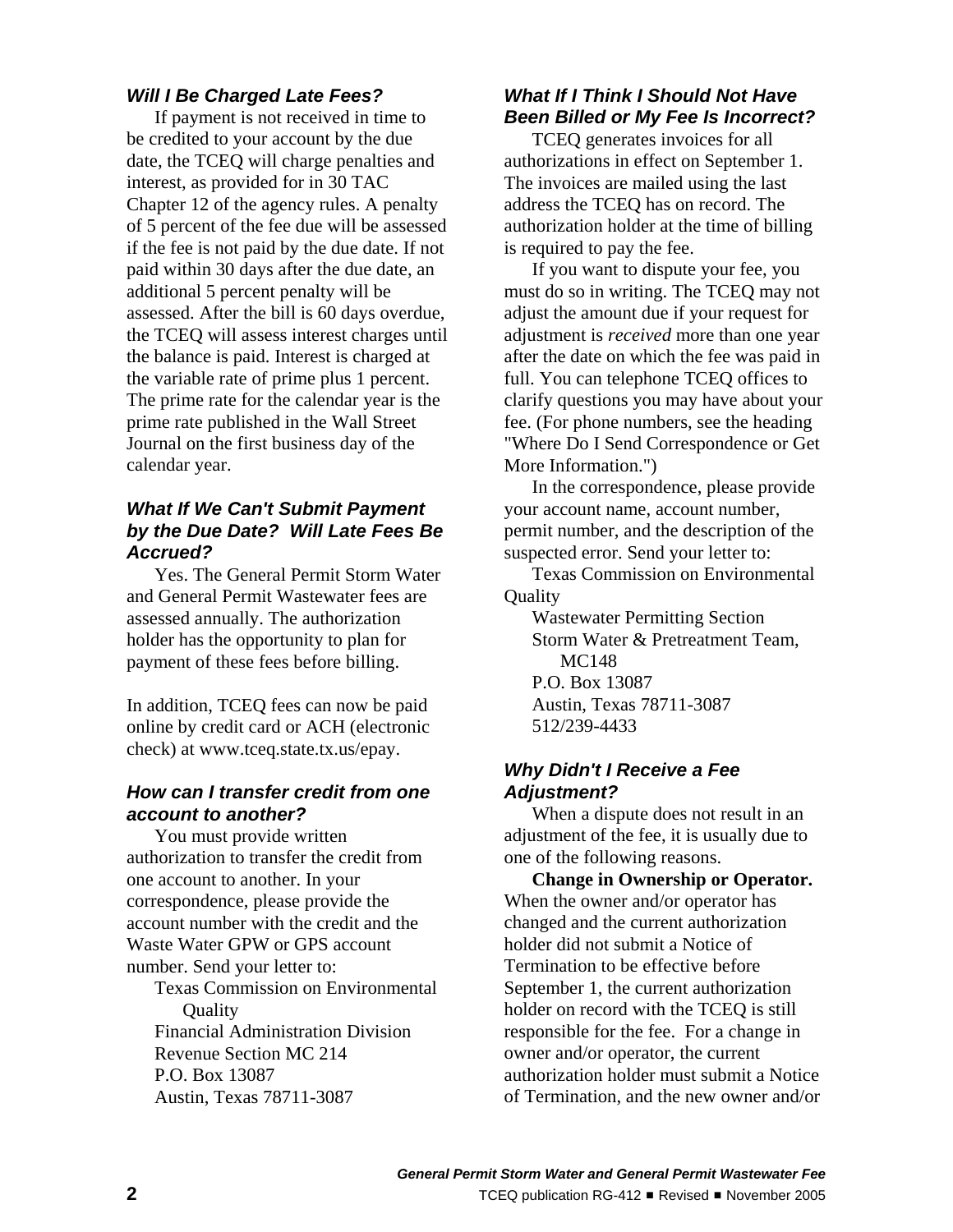#### *Will I Be Charged Late Fees?*

If payment is not received in time to be credited to your account by the due date, the TCEQ will charge penalties and interest, as provided for in 30 TAC Chapter 12 of the agency rules. A penalty of 5 percent of the fee due will be assessed if the fee is not paid by the due date. If not paid within 30 days after the due date, an additional 5 percent penalty will be assessed. After the bill is 60 days overdue, the TCEQ will assess interest charges until the balance is paid. Interest is charged at the variable rate of prime plus 1 percent. The prime rate for the calendar year is the prime rate published in the Wall Street Journal on the first business day of the calendar year.

#### *What If We Can't Submit Payment by the Due Date? Will Late Fees Be Accrued?*

Yes. The General Permit Storm Water and General Permit Wastewater fees are assessed annually. The authorization holder has the opportunity to plan for payment of these fees before billing.

In addition, TCEQ fees can now be paid online by credit card or ACH (electronic check) at www.tceq.state.tx.us/epay.

#### *How can I transfer credit from one account to another?*

You must provide written authorization to transfer the credit from one account to another. In your correspondence, please provide the account number with the credit and the Waste Water GPW or GPS account number. Send your letter to: Texas Commission on Environmental **Quality** Financial Administration Division Revenue Section MC 214 P.O. Box 13087 Austin, Texas 78711-3087

# *What If I Think I Should Not Have Been Billed or My Fee Is Incorrect?*

TCEQ generates invoices for all authorizations in effect on September 1. The invoices are mailed using the last address the TCEQ has on record. The authorization holder at the time of billing is required to pay the fee.

If you want to dispute your fee, you must do so in writing. The TCEQ may not adjust the amount due if your request for adjustment is *received* more than one year after the date on which the fee was paid in full. You can telephone TCEQ offices to clarify questions you may have about your fee. (For phone numbers, see the heading "Where Do I Send Correspondence or Get More Information.")

In the correspondence, please provide your account name, account number, permit number, and the description of the suspected error. Send your letter to:

Texas Commission on Environmental **Quality** 

Wastewater Permitting Section Storm Water & Pretreatment Team, MC148 P.O. Box 13087 Austin, Texas 78711-3087 512/239-4433

#### *Why Didn't I Receive a Fee Adjustment?*

When a dispute does not result in an adjustment of the fee, it is usually due to one of the following reasons.

**Change in Ownership or Operator.**  When the owner and/or operator has changed and the current authorization holder did not submit a Notice of Termination to be effective before September 1, the current authorization holder on record with the TCEQ is still responsible for the fee. For a change in owner and/or operator, the current authorization holder must submit a Notice of Termination, and the new owner and/or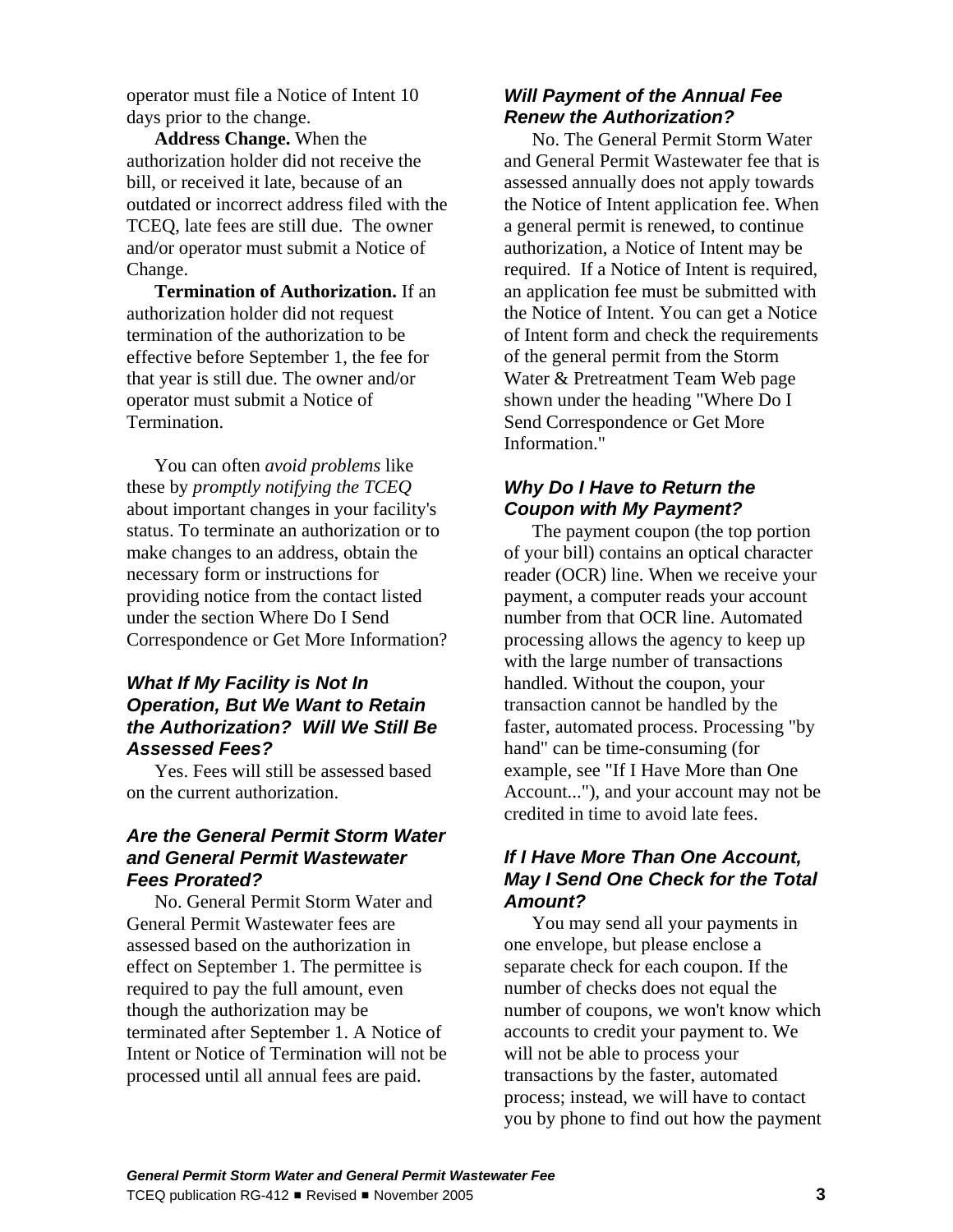operator must file a Notice of Intent 10 days prior to the change.

**Address Change.** When the authorization holder did not receive the bill, or received it late, because of an outdated or incorrect address filed with the TCEQ, late fees are still due. The owner and/or operator must submit a Notice of Change.

**Termination of Authorization.** If an authorization holder did not request termination of the authorization to be effective before September 1, the fee for that year is still due. The owner and/or operator must submit a Notice of Termination.

You can often *avoid problems* like these by *promptly notifying the TCEQ*  about important changes in your facility's status. To terminate an authorization or to make changes to an address, obtain the necessary form or instructions for providing notice from the contact listed under the section Where Do I Send Correspondence or Get More Information?

### *What If My Facility is Not In Operation, But We Want to Retain the Authorization? Will We Still Be Assessed Fees?*

Yes. Fees will still be assessed based on the current authorization.

### *Are the General Permit Storm Water and General Permit Wastewater Fees Prorated?*

No. General Permit Storm Water and General Permit Wastewater fees are assessed based on the authorization in effect on September 1. The permittee is required to pay the full amount, even though the authorization may be terminated after September 1. A Notice of Intent or Notice of Termination will not be processed until all annual fees are paid.

# *Will Payment of the Annual Fee Renew the Authorization?*

No. The General Permit Storm Water and General Permit Wastewater fee that is assessed annually does not apply towards the Notice of Intent application fee. When a general permit is renewed, to continue authorization, a Notice of Intent may be required. If a Notice of Intent is required, an application fee must be submitted with the Notice of Intent. You can get a Notice of Intent form and check the requirements of the general permit from the Storm Water & Pretreatment Team Web page shown under the heading "Where Do I Send Correspondence or Get More Information."

# *Why Do I Have to Return the Coupon with My Payment?*

The payment coupon (the top portion of your bill) contains an optical character reader (OCR) line. When we receive your payment, a computer reads your account number from that OCR line. Automated processing allows the agency to keep up with the large number of transactions handled. Without the coupon, your transaction cannot be handled by the faster, automated process. Processing "by hand" can be time-consuming (for example, see "If I Have More than One Account..."), and your account may not be credited in time to avoid late fees.

# *If I Have More Than One Account, May I Send One Check for the Total Amount?*

You may send all your payments in one envelope, but please enclose a separate check for each coupon. If the number of checks does not equal the number of coupons, we won't know which accounts to credit your payment to. We will not be able to process your transactions by the faster, automated process; instead, we will have to contact you by phone to find out how the payment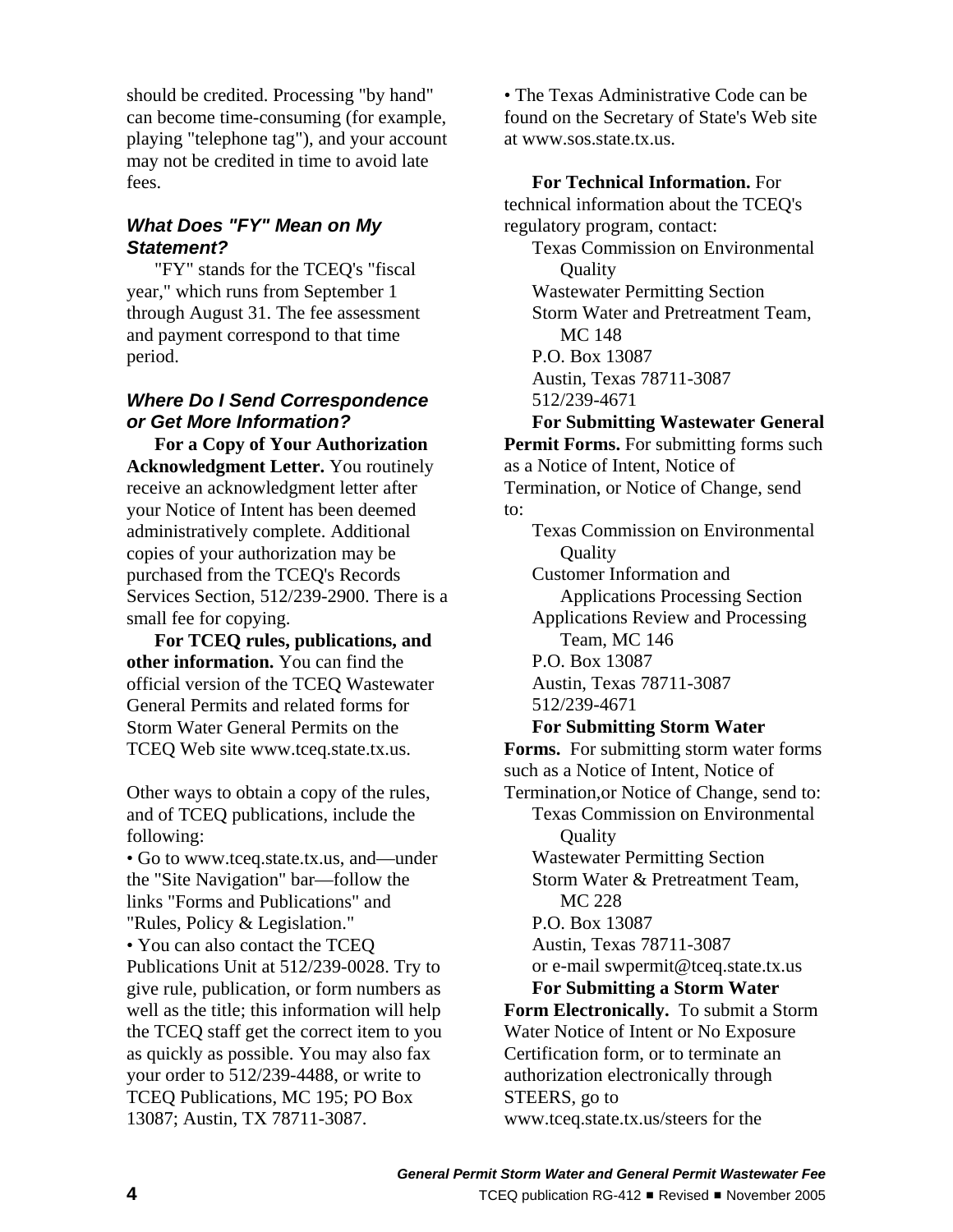should be credited. Processing "by hand" can become time-consuming (for example, playing "telephone tag"), and your account may not be credited in time to avoid late fees.

# *What Does "FY" Mean on My Statement?*

"FY" stands for the TCEQ's "fiscal year," which runs from September 1 through August 31. The fee assessment and payment correspond to that time period.

#### *Where Do I Send Correspondence or Get More Information?*

**For a Copy of Your Authorization Acknowledgment Letter.** You routinely receive an acknowledgment letter after your Notice of Intent has been deemed administratively complete. Additional copies of your authorization may be purchased from the TCEQ's Records Services Section, 512/239-2900. There is a small fee for copying.

**For TCEQ rules, publications, and other information.** You can find the official version of the TCEQ Wastewater General Permits and related forms for Storm Water General Permits on the TCEQ Web site www.tceq.state.tx.us.

Other ways to obtain a copy of the rules, and of TCEQ publications, include the following:

• Go to www.tceq.state.tx.us, and—under the "Site Navigation" bar—follow the links "Forms and Publications" and "Rules, Policy & Legislation." • You can also contact the TCEQ Publications Unit at 512/239-0028. Try to

give rule, publication, or form numbers as well as the title; this information will help the TCEQ staff get the correct item to you as quickly as possible. You may also fax your order to 512/239-4488, or write to TCEQ Publications, MC 195; PO Box 13087; Austin, TX 78711-3087.

• The Texas Administrative Code can be found on the Secretary of State's Web site at www.sos.state.tx.us.

**For Technical Information.** For technical information about the TCEQ's regulatory program, contact: Texas Commission on Environmental **Ouality** Wastewater Permitting Section Storm Water and Pretreatment Team, MC 148 P.O. Box 13087 Austin, Texas 78711-3087 512/239-4671 **For Submitting Wastewater General Permit Forms.** For submitting forms such as a Notice of Intent, Notice of Termination, or Notice of Change, send to: Texas Commission on Environmental **Quality** Customer Information and

Applications Processing Section Applications Review and Processing Team, MC 146 P.O. Box 13087

Austin, Texas 78711-3087 512/239-4671

#### **For Submitting Storm Water**

**Forms.** For submitting storm water forms such as a Notice of Intent, Notice of Termination,or Notice of Change, send to: Texas Commission on Environmental **Ouality** Wastewater Permitting Section Storm Water & Pretreatment Team, MC 228 P.O. Box 13087 Austin, Texas 78711-3087 or e-mail swpermit@tceq.state.tx.us **For Submitting a Storm Water Form Electronically.** To submit a Storm

Water Notice of Intent or No Exposure Certification form, or to terminate an authorization electronically through STEERS, go to www.tceq.state.tx.us/steers for the